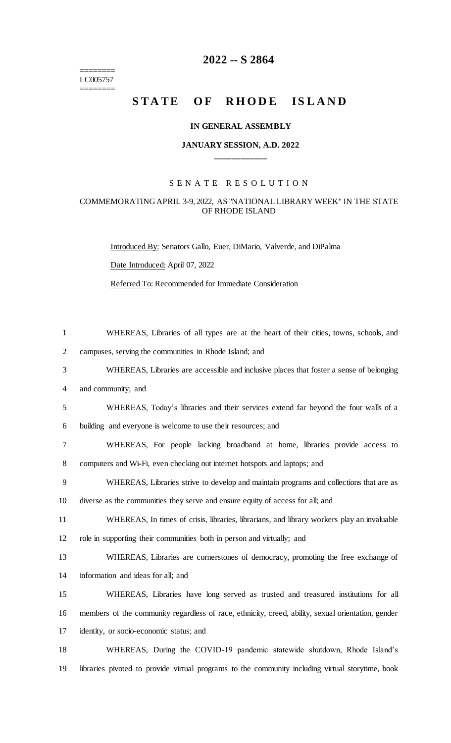======== LC005757 ========

# **-- S 2864**

# **STATE OF RHODE ISLAND**

#### **IN GENERAL ASSEMBLY**

#### **JANUARY SESSION, A.D. 2022 \_\_\_\_\_\_\_\_\_\_\_\_**

## S E N A T E R E S O L U T I O N

### COMMEMORATING APRIL 3-9, 2022, AS "NATIONAL LIBRARY WEEK" IN THE STATE OF RHODE ISLAND

Introduced By: Senators Gallo, Euer, DiMario, Valverde, and DiPalma

Date Introduced: April 07, 2022

Referred To: Recommended for Immediate Consideration

 WHEREAS, Libraries of all types are at the heart of their cities, towns, schools, and campuses, serving the communities in Rhode Island; and

WHEREAS, Libraries are accessible and inclusive places that foster a sense of belonging

and community; and

 WHEREAS, Today's libraries and their services extend far beyond the four walls of a building and everyone is welcome to use their resources; and

 WHEREAS, For people lacking broadband at home, libraries provide access to computers and Wi-Fi, even checking out internet hotspots and laptops; and

- WHEREAS, Libraries strive to develop and maintain programs and collections that are as diverse as the communities they serve and ensure equity of access for all; and
- WHEREAS, In times of crisis, libraries, librarians, and library workers play an invaluable role in supporting their communities both in person and virtually; and

 WHEREAS, Libraries are cornerstones of democracy, promoting the free exchange of information and ideas for all; and

 WHEREAS, Libraries have long served as trusted and treasured institutions for all members of the community regardless of race, ethnicity, creed, ability, sexual orientation, gender identity, or socio-economic status; and

 WHEREAS, During the COVID-19 pandemic statewide shutdown, Rhode Island's libraries pivoted to provide virtual programs to the community including virtual storytime, book